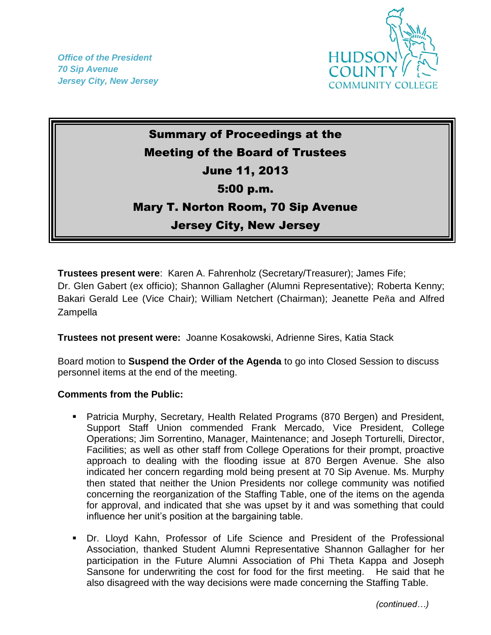*Office of the President 70 Sip Avenue Jersey City, New Jersey*



## Summary of Proceedings at the Meeting of the Board of Trustees June 11, 2013 5:00 p.m. Mary T. Norton Room, 70 Sip Avenue Jersey City, New Jersey

**Trustees present were**: Karen A. Fahrenholz (Secretary/Treasurer); James Fife; Dr. Glen Gabert (ex officio); Shannon Gallagher (Alumni Representative); Roberta Kenny; Bakari Gerald Lee (Vice Chair); William Netchert (Chairman); Jeanette Peña and Alfred Zampella

**Trustees not present were:** Joanne Kosakowski, Adrienne Sires, Katia Stack

Board motion to **Suspend the Order of the Agenda** to go into Closed Session to discuss personnel items at the end of the meeting.

## **Comments from the Public:**

- Patricia Murphy, Secretary, Health Related Programs (870 Bergen) and President, Support Staff Union commended Frank Mercado, Vice President, College Operations; Jim Sorrentino, Manager, Maintenance; and Joseph Torturelli, Director, Facilities; as well as other staff from College Operations for their prompt, proactive approach to dealing with the flooding issue at 870 Bergen Avenue. She also indicated her concern regarding mold being present at 70 Sip Avenue. Ms. Murphy then stated that neither the Union Presidents nor college community was notified concerning the reorganization of the Staffing Table, one of the items on the agenda for approval, and indicated that she was upset by it and was something that could influence her unit's position at the bargaining table.
- Dr. Lloyd Kahn, Professor of Life Science and President of the Professional Association, thanked Student Alumni Representative Shannon Gallagher for her participation in the Future Alumni Association of Phi Theta Kappa and Joseph Sansone for underwriting the cost for food for the first meeting. He said that he also disagreed with the way decisions were made concerning the Staffing Table.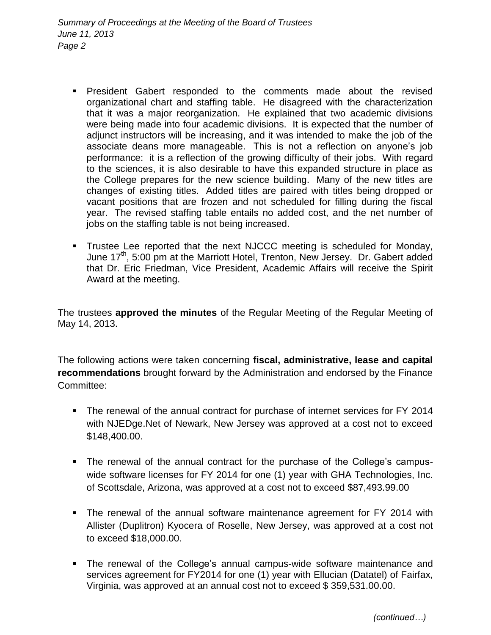- President Gabert responded to the comments made about the revised organizational chart and staffing table. He disagreed with the characterization that it was a major reorganization. He explained that two academic divisions were being made into four academic divisions. It is expected that the number of adjunct instructors will be increasing, and it was intended to make the job of the associate deans more manageable. This is not a reflection on anyone's job performance: it is a reflection of the growing difficulty of their jobs. With regard to the sciences, it is also desirable to have this expanded structure in place as the College prepares for the new science building. Many of the new titles are changes of existing titles. Added titles are paired with titles being dropped or vacant positions that are frozen and not scheduled for filling during the fiscal year. The revised staffing table entails no added cost, and the net number of jobs on the staffing table is not being increased.
- Trustee Lee reported that the next NJCCC meeting is scheduled for Monday, June 17<sup>th</sup>, 5:00 pm at the Marriott Hotel, Trenton, New Jersey. Dr. Gabert added that Dr. Eric Friedman, Vice President, Academic Affairs will receive the Spirit Award at the meeting.

The trustees **approved the minutes** of the Regular Meeting of the Regular Meeting of May 14, 2013.

The following actions were taken concerning **fiscal, administrative, lease and capital recommendations** brought forward by the Administration and endorsed by the Finance Committee:

- The renewal of the annual contract for purchase of internet services for FY 2014 with NJEDge.Net of Newark, New Jersey was approved at a cost not to exceed \$148,400.00.
- The renewal of the annual contract for the purchase of the College's campuswide software licenses for FY 2014 for one (1) year with GHA Technologies, Inc. of Scottsdale, Arizona, was approved at a cost not to exceed \$87,493.99.00
- The renewal of the annual software maintenance agreement for FY 2014 with Allister (Duplitron) Kyocera of Roselle, New Jersey, was approved at a cost not to exceed \$18,000.00.
- The renewal of the College's annual campus-wide software maintenance and services agreement for FY2014 for one (1) year with Ellucian (Datatel) of Fairfax, Virginia, was approved at an annual cost not to exceed \$ 359,531.00.00.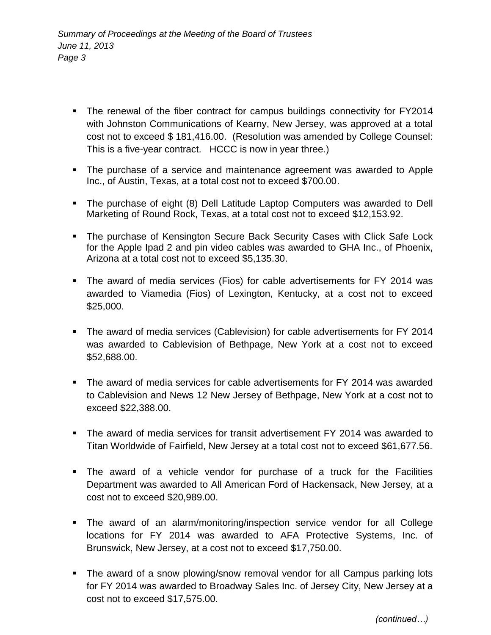- The renewal of the fiber contract for campus buildings connectivity for FY2014 with Johnston Communications of Kearny, New Jersey, was approved at a total cost not to exceed \$ 181,416.00. (Resolution was amended by College Counsel: This is a five-year contract. HCCC is now in year three.)
- The purchase of a service and maintenance agreement was awarded to Apple Inc., of Austin, Texas, at a total cost not to exceed \$700.00.
- The purchase of eight (8) Dell Latitude Laptop Computers was awarded to Dell Marketing of Round Rock, Texas, at a total cost not to exceed \$12,153.92.
- **The purchase of Kensington Secure Back Security Cases with Click Safe Lock** for the Apple Ipad 2 and pin video cables was awarded to GHA Inc., of Phoenix, Arizona at a total cost not to exceed \$5,135.30.
- The award of media services (Fios) for cable advertisements for FY 2014 was awarded to Viamedia (Fios) of Lexington, Kentucky, at a cost not to exceed \$25,000.
- The award of media services (Cablevision) for cable advertisements for FY 2014 was awarded to Cablevision of Bethpage, New York at a cost not to exceed \$52,688.00.
- The award of media services for cable advertisements for FY 2014 was awarded to Cablevision and News 12 New Jersey of Bethpage, New York at a cost not to exceed \$22,388.00.
- The award of media services for transit advertisement FY 2014 was awarded to Titan Worldwide of Fairfield, New Jersey at a total cost not to exceed \$61,677.56.
- The award of a vehicle vendor for purchase of a truck for the Facilities Department was awarded to All American Ford of Hackensack, New Jersey, at a cost not to exceed \$20,989.00.
- The award of an alarm/monitoring/inspection service vendor for all College locations for FY 2014 was awarded to AFA Protective Systems, Inc. of Brunswick, New Jersey, at a cost not to exceed \$17,750.00.
- The award of a snow plowing/snow removal vendor for all Campus parking lots for FY 2014 was awarded to Broadway Sales Inc. of Jersey City, New Jersey at a cost not to exceed \$17,575.00.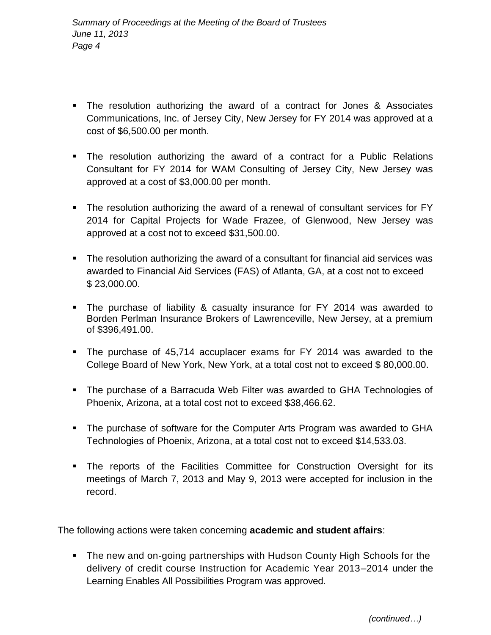- The resolution authorizing the award of a contract for Jones & Associates Communications, Inc. of Jersey City, New Jersey for FY 2014 was approved at a cost of \$6,500.00 per month.
- The resolution authorizing the award of a contract for a Public Relations Consultant for FY 2014 for WAM Consulting of Jersey City, New Jersey was approved at a cost of \$3,000.00 per month.
- The resolution authorizing the award of a renewal of consultant services for FY 2014 for Capital Projects for Wade Frazee, of Glenwood, New Jersey was approved at a cost not to exceed \$31,500.00.
- The resolution authorizing the award of a consultant for financial aid services was awarded to Financial Aid Services (FAS) of Atlanta, GA, at a cost not to exceed \$ 23,000.00.
- The purchase of liability & casualty insurance for FY 2014 was awarded to Borden Perlman Insurance Brokers of Lawrenceville, New Jersey, at a premium of \$396,491.00.
- The purchase of 45,714 accuplacer exams for FY 2014 was awarded to the College Board of New York, New York, at a total cost not to exceed \$ 80,000.00.
- The purchase of a Barracuda Web Filter was awarded to GHA Technologies of Phoenix, Arizona, at a total cost not to exceed \$38,466.62.
- The purchase of software for the Computer Arts Program was awarded to GHA Technologies of Phoenix, Arizona, at a total cost not to exceed \$14,533.03.
- The reports of the Facilities Committee for Construction Oversight for its meetings of March 7, 2013 and May 9, 2013 were accepted for inclusion in the record.

The following actions were taken concerning **academic and student affairs**:

• The new and on-going partnerships with Hudson County High Schools for the delivery of credit course Instruction for Academic Year 2013–2014 under the Learning Enables All Possibilities Program was approved.